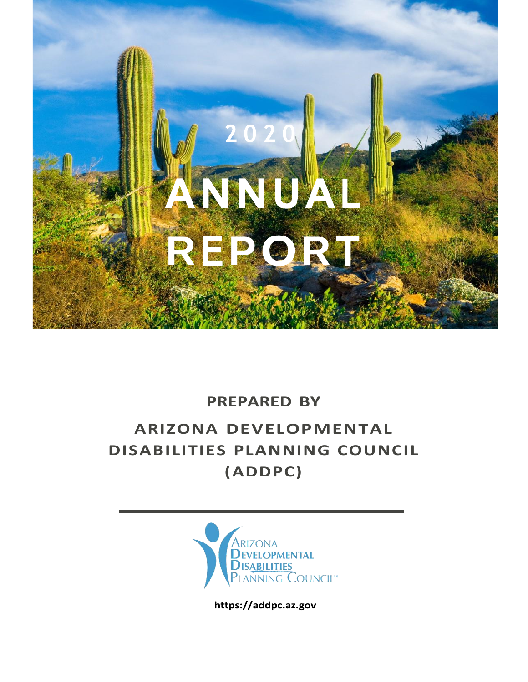

### **PREPARED BY**

## **ARIZONA DEVELOPMENTAL DISABILITIES PLANNING COUNCIL (ADDPC)**



**https://addpc.az.gov**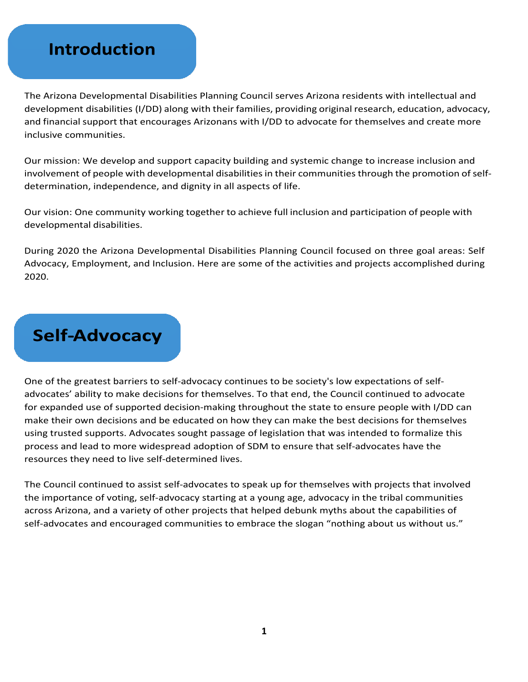### **Introduction**

The Arizona Developmental Disabilities Planning Council serves Arizona residents with intellectual and development disabilities (I/DD) along with their families, providing original research, education, advocacy, and financial support that encourages Arizonans with I/DD to advocate for themselves and create more inclusive communities.

Our mission: We develop and support capacity building and systemic change to increase inclusion and involvement of people with developmental disabilities in their communities through the promotion of selfdetermination, independence, and dignity in all aspects of life.

Our vision: One community working together to achieve full inclusion and participation of people with developmental disabilities.

During 2020 the Arizona Developmental Disabilities Planning Council focused on three goal areas: Self Advocacy, Employment, and Inclusion. Here are some of the activities and projects accomplished during 2020.

## **Self-Advocacy**

One of the greatest barriers to self-advocacy continues to be society's low expectations of selfadvocates' ability to make decisions for themselves. To that end, the Council continued to advocate for expanded use of supported decision-making throughout the state to ensure people with I/DD can make their own decisions and be educated on how they can make the best decisions for themselves using trusted supports. Advocates sought passage of legislation that was intended to formalize this process and lead to more widespread adoption of SDM to ensure that self-advocates have the resources they need to live self-determined lives.

The Council continued to assist self-advocates to speak up for themselves with projects that involved the importance of voting, self-advocacy starting at a young age, advocacy in the tribal communities across Arizona, and a variety of other projects that helped debunk myths about the capabilities of self-advocates and encouraged communities to embrace the slogan "nothing about us without us."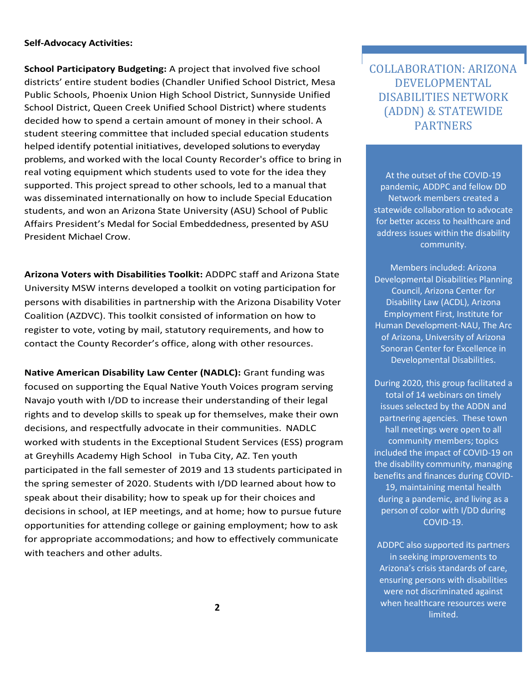#### **Self-Advocacy Activities:**

**School Participatory Budgeting:** A project that involved five school districts' entire student bodies (Chandler Unified School District, Mesa Public Schools, Phoenix Union High School District, Sunnyside Unified School District, Queen Creek Unified School District) where students decided how to spend a certain amount of money in their school. A student steering committee that included special education students helped identify potential initiatives, developed solutions to everyday problems, and worked with the local County Recorder's office to bring in real voting equipment which students used to vote for the idea they supported. This project spread to other schools, led to a manual that was disseminated internationally on how to include Special Education students, and won an Arizona State University (ASU) School of Public Affairs President's Medal for Social Embeddedness, presented by ASU President Michael Crow.

**Arizona Voters with Disabilities Toolkit:** ADDPC staff and Arizona State University MSW interns developed a toolkit on voting participation for persons with disabilities in partnership with the Arizona Disability Voter Coalition (AZDVC). This toolkit consisted of information on how to register to vote, voting by mail, statutory requirements, and how to contact the County Recorder's office, along with other resources.

**Native American Disability Law Center (NADLC):** Grant funding was focused on supporting the Equal Native Youth Voices program serving Navajo youth with I/DD to increase their understanding of their legal rights and to develop skills to speak up for themselves, make their own decisions, and respectfully advocate in their communities. NADLC worked with students in the Exceptional Student Services (ESS) program at Greyhills Academy High School in Tuba City, AZ. Ten youth participated in the fall semester of 2019 and 13 students participated in the spring semester of 2020. Students with I/DD learned about how to speak about their disability; how to speak up for their choices and decisions in school, at IEP meetings, and at home; how to pursue future opportunities for attending college or gaining employment; how to ask for appropriate accommodations; and how to effectively communicate with teachers and other adults.

COLLABORATION: ARIZONA DEVELOPMENTAL DISABILITIES NETWORK (ADDN) & STATEWIDE PARTNERS

At the outset of the COVID-19 pandemic, ADDPC and fellow DD Network members created a statewide collaboration to advocate for better access to healthcare and address issues within the disability community.

Members included: Arizona Developmental Disabilities Planning Council, Arizona Center for Disability Law (ACDL), Arizona Employment First, Institute for Human Development-NAU, The Arc of Arizona, University of Arizona Sonoran Center for Excellence in Developmental Disabilities.

During 2020, this group facilitated a total of 14 webinars on timely issues selected by the ADDN and partnering agencies. These town hall meetings were open to all community members; topics included the impact of COVID-19 on the disability community, managing benefits and finances during COVID-19, maintaining mental health during a pandemic, and living as a person of color with I/DD during COVID-19.

ADDPC also supported its partners in seeking improvements to Arizona's crisis standards of care, ensuring persons with disabilities were not discriminated against when healthcare resources were limited.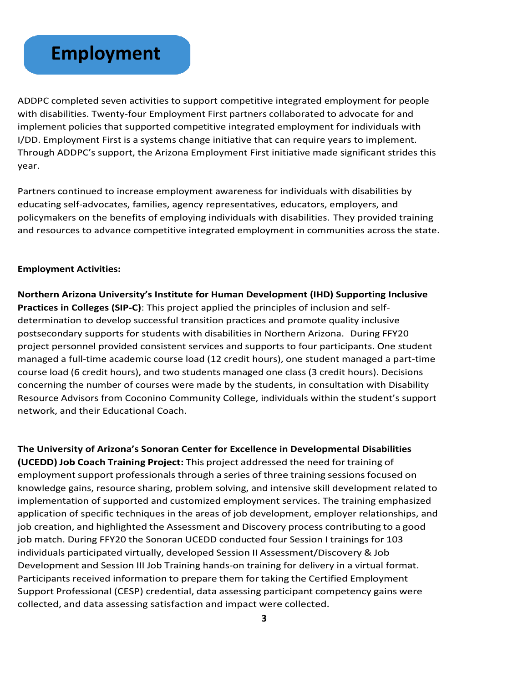## **Employment**

ADDPC completed seven activities to support competitive integrated employment for people with disabilities. Twenty-four Employment First partners collaborated to advocate for and implement policies that supported competitive integrated employment for individuals with I/DD. Employment First is a systems change initiative that can require years to implement. Through ADDPC's support, the Arizona Employment First initiative made significant strides this year.

Partners continued to increase employment awareness for individuals with disabilities by educating self-advocates, families, agency representatives, educators, employers, and policymakers on the benefits of employing individuals with disabilities. They provided training and resources to advance competitive integrated employment in communities across the state.

#### **Employment Activities:**

**Northern Arizona University's Institute for Human Development (IHD) Supporting Inclusive Practices in Colleges (SIP-C)**: This project applied the principles of inclusion and selfdetermination to develop successful transition practices and promote quality inclusive postsecondary supports for students with disabilities in Northern Arizona. During FFY20 project personnel provided consistent services and supports to four participants. One student managed a full-time academic course load (12 credit hours), one student managed a part-time course load (6 credit hours), and two students managed one class (3 credit hours). Decisions concerning the number of courses were made by the students, in consultation with Disability Resource Advisors from Coconino Community College, individuals within the student's support network, and their Educational Coach.

**The University of Arizona's Sonoran Center for Excellence in Developmental Disabilities (UCEDD) Job Coach Training Project:** This project addressed the need for training of employment support professionals through a series of three training sessions focused on knowledge gains, resource sharing, problem solving, and intensive skill development related to implementation of supported and customized employment services. The training emphasized application of specific techniques in the areas of job development, employer relationships, and job creation, and highlighted the Assessment and Discovery process contributing to a good job match. During FFY20 the Sonoran UCEDD conducted four Session I trainings for 103 individuals participated virtually, developed Session II Assessment/Discovery & Job Development and Session III Job Training hands-on training for delivery in a virtual format. Participants received information to prepare them for taking the Certified Employment Support Professional (CESP) credential, data assessing participant competency gains were collected, and data assessing satisfaction and impact were collected.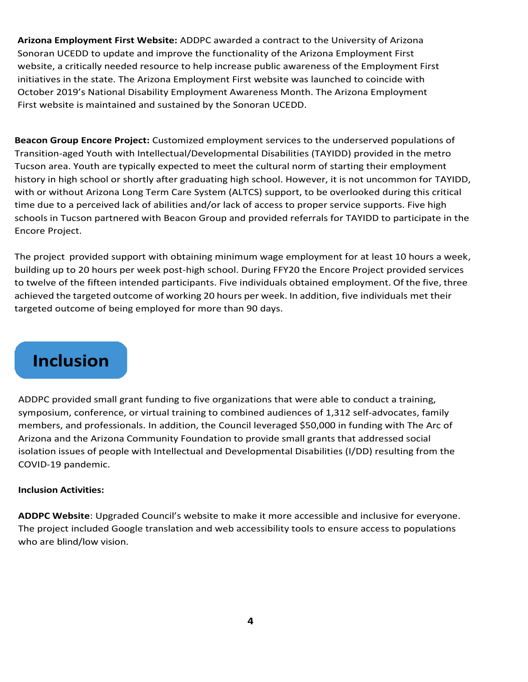**Arizona Employment First Website:** ADDPC awarded a contract to the University of Arizona Sonoran UCEDD to update and improve the functionality of the Arizona Employment First website, a critically needed resource to help increase public awareness of the Employment First initiatives in the state. The Arizona Employment First website was launched to coincide with October 2019's National Disability Employment Awareness Month. The Arizona Employment First website is maintained and sustained by the Sonoran UCEDD.

**Beacon Group Encore Project:** Customized employment services to the underserved populations of Transition-aged Youth with Intellectual/Developmental Disabilities (TAYIDD) provided in the metro Tucson area. Youth are typically expected to meet the cultural norm of starting their employment history in high school or shortly after graduating high school. However, it is not uncommon for TAYIDD, with or without Arizona Long Term Care System (ALTCS) support, to be overlooked during this critical time due to a perceived lack of abilities and/or lack of access to proper service supports. Five high schools in Tucson partnered with Beacon Group and provided referrals for TAYIDD to participate in the Encore Project.

The project provided support with obtaining minimum wage employment for at least 10 hours a week, building up to 20 hours per week post-high school. During FFY20 the Encore Project provided services to twelve of the fifteen intended participants. Five individuals obtained employment. Of the five, three achieved the targeted outcome of working 20 hours per week. In addition, five individuals met their targeted outcome of being employed for more than 90 days.

### **Inclusion**

ADDPC provided small grant funding to five organizations that were able to conduct a training, symposium, conference, or virtual training to combined audiences of 1,312 self-advocates, family members, and professionals. In addition, the Council leveraged \$50,000 in funding with The Arc of Arizona and the Arizona Community Foundation to provide small grants that addressed social isolation issues of people with Intellectual and Developmental Disabilities (I/DD) resulting from the COVID-19 pandemic.

#### **Inclusion Activities:**

**ADDPC Website**: Upgraded Council's website to make it more accessible and inclusive for everyone. The project included Google translation and web accessibility tools to ensure access to populations who are blind/low vision.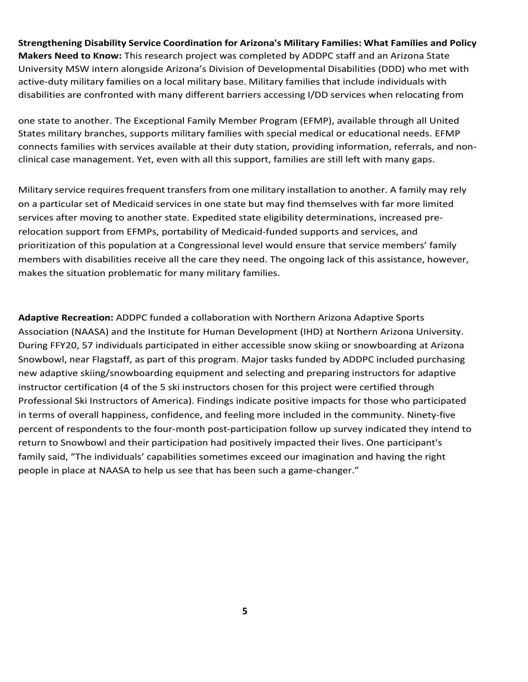**Strengthening Disability Service Coordination for Arizona's Military Families: What Families and Policy Makers Need to Know:** This research project was completed by ADDPC staff and an Arizona State University MSW intern alongside Arizona's Division of Developmental Disabilities (DDD) who met with active-duty military families on a local military base. Military families that include individuals with disabilities are confronted with many different barriers accessing I/DD services when relocating from

one state to another. The Exceptional Family Member Program (EFMP), available through all United States military branches, supports military families with special medical or educational needs. EFMP connects families with services available at their duty station, providing information, referrals, and nonclinical case management. Yet, even with all this support, families are still left with many gaps.

Military service requires frequent transfers from one military installation to another. A family may rely on a particular set of Medicaid services in one state but may find themselves with far more limited services after moving to another state. Expedited state eligibility determinations, increased prerelocation support from EFMPs, portability of Medicaid-funded supports and services, and prioritization of this population at a Congressional level would ensure that service members' family members with disabilities receive all the care they need. The ongoing lack of this assistance, however, makes the situation problematic for many military families.

**Adaptive Recreation:** ADDPC funded a collaboration with Northern Arizona Adaptive Sports Association (NAASA) and the Institute for Human Development (IHD) at Northern Arizona University. During FFY20, 57 individuals participated in either accessible snow skiing or snowboarding at Arizona Snowbowl, near Flagstaff, as part of this program. Major tasks funded by ADDPC included purchasing new adaptive skiing/snowboarding equipment and selecting and preparing instructors for adaptive instructor certification (4 of the 5 ski instructors chosen for this project were certified through Professional Ski Instructors of America). Findings indicate positive impacts for those who participated in terms of overall happiness, confidence, and feeling more included in the community. Ninety-five percent of respondents to the four-month post-participation follow up survey indicated they intend to return to Snowbowl and their participation had positively impacted their lives. One participant's family said, "The individuals' capabilities sometimes exceed our imagination and having the right people in place at NAASA to help us see that has been such a game-changer."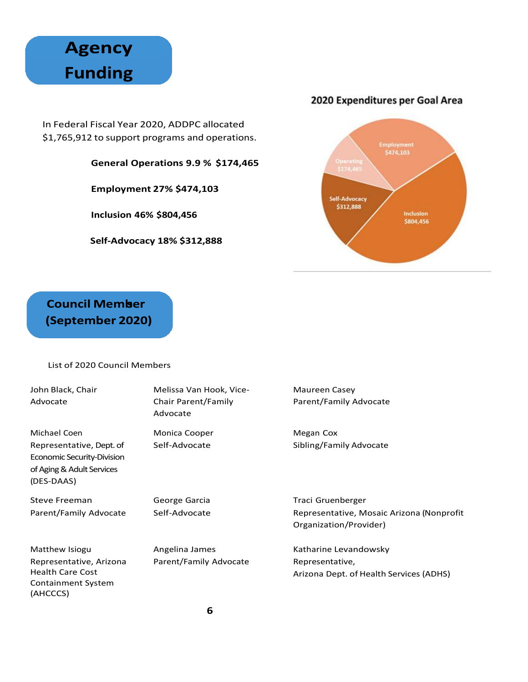# **Agency Funding**

In Federal Fiscal Year 2020, ADDPC allocated \$1,765,912 to support programs and operations.

**General Operations 9.9 % \$174,465** 

**Employment 27% \$474,103**

**Inclusion 46% \$804,456**

**Self-Advocacy 18% \$312,888**

#### 2020 Expenditures per Goal Area



### **Council Member** (September 2020)

#### List of 2020 Council Members

(AHCCCS)

| John Black, Chair<br>Advocate                                                                     | Melissa Van Hook, Vice-<br>Chair Parent/Family<br>Advocate | Maureen Casey<br>Parent/Family Advocate                             |
|---------------------------------------------------------------------------------------------------|------------------------------------------------------------|---------------------------------------------------------------------|
| Michael Coen                                                                                      | Monica Cooper                                              | Megan Cox                                                           |
| Representative, Dept. of<br>Economic Security-Division<br>of Aging & Adult Services<br>(DES-DAAS) | Self-Advocate                                              | Sibling/Family Advocate                                             |
| <b>Steve Freeman</b>                                                                              | George Garcia                                              | Traci Gruenberger                                                   |
| Parent/Family Advocate                                                                            | Self-Advocate                                              | Representative, Mosaic Arizona (Nonprofit<br>Organization/Provider) |
| Matthew Isiogu                                                                                    | Angelina James                                             | Katharine Levandowsky                                               |
| Representative, Arizona<br><b>Health Care Cost</b><br><b>Containment System</b>                   | Parent/Family Advocate                                     | Representative,<br>Arizona Dept. of Health Services (ADHS)          |